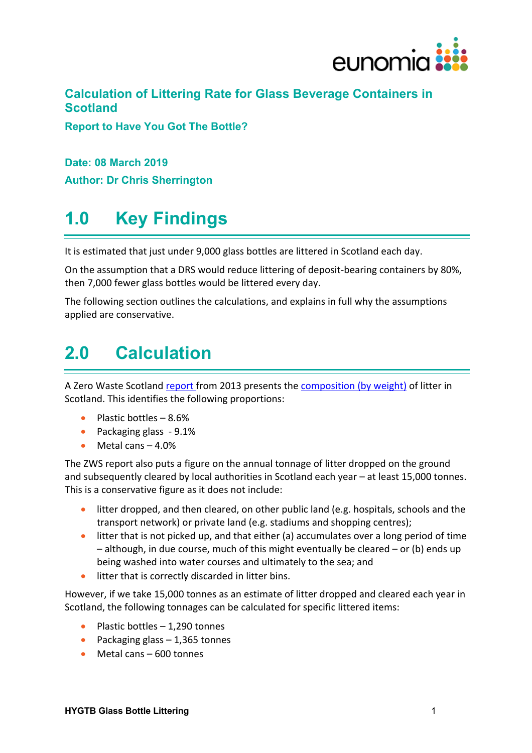

## **Calculation of Littering Rate for Glass Beverage Containers in Scotland**

**Report to Have You Got The Bottle?**

**Date: 08 March 2019**

**Author: Dr Chris Sherrington**

## **1.0 Key Findings**

It is estimated that just under 9,000 glass bottles are littered in Scotland each day.

On the assumption that a DRS would reduce littering of deposit-bearing containers by 80%, then 7,000 fewer glass bottles would be littered every day.

The following section outlines the calculations, and explains in full why the assumptions applied are conservative.

## **2.0 Calculation**

A Zero Waste Scotland report from 2013 presents the composition (by weight) of litter in Scotland. This identifies the following proportions:

- Plastic bottles 8.6%
- Packaging glass 9.1%
- $\bullet$  Metal cans  $-4.0\%$

The ZWS report also puts a figure on the annual tonnage of litter dropped on the ground and subsequently cleared by local authorities in Scotland each year – at least 15,000 tonnes. This is a conservative figure as it does not include:

- litter dropped, and then cleared, on other public land (e.g. hospitals, schools and the transport network) or private land (e.g. stadiums and shopping centres);
- litter that is not picked up, and that either (a) accumulates over a long period of time  $-$  although, in due course, much of this might eventually be cleared  $-$  or (b) ends up being washed into water courses and ultimately to the sea; and
- litter that is correctly discarded in litter bins.

However, if we take 15,000 tonnes as an estimate of litter dropped and cleared each year in Scotland, the following tonnages can be calculated for specific littered items:

- Plastic bottles  $-1,290$  tonnes
- Packaging glass  $-1,365$  tonnes
- Metal cans 600 tonnes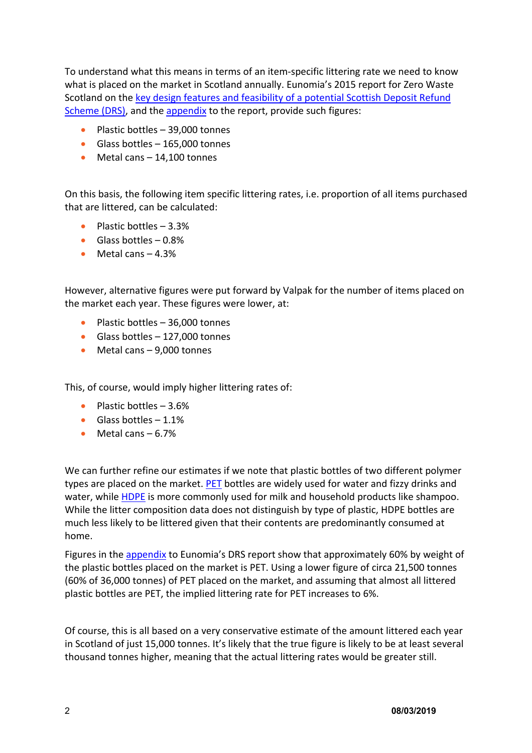To understand what this means in terms of an item-specific littering rate we need to know what is placed on the market in Scotland annually. Eunomia's 2015 report for Zero Waste Scotland on the key design features and feasibility of a potential Scottish Deposit Refund Scheme (DRS), and the appendix to the report, provide such figures:

- Plastic bottles 39,000 tonnes
- Glass bottles 165,000 tonnes
- Metal cans 14,100 tonnes

On this basis, the following item specific littering rates, i.e. proportion of all items purchased that are littered, can be calculated:

- Plastic bottles 3.3%
- Glass bottles 0.8%
- Metal cans 4.3%

However, alternative figures were put forward by Valpak for the number of items placed on the market each year. These figures were lower, at:

- Plastic bottles 36,000 tonnes
- Glass bottles 127,000 tonnes
- Metal cans 9,000 tonnes

This, of course, would imply higher littering rates of:

- Plastic bottles 3.6%
- $\bullet$  Glass bottles  $-1.1\%$
- $\bullet$  Metal cans  $-6.7\%$

We can further refine our estimates if we note that plastic bottles of two different polymer types are placed on the market. PET bottles are widely used for water and fizzy drinks and water, while HDPE is more commonly used for milk and household products like shampoo. While the litter composition data does not distinguish by type of plastic, HDPE bottles are much less likely to be littered given that their contents are predominantly consumed at home.

Figures in the appendix to Eunomia's DRS report show that approximately 60% by weight of the plastic bottles placed on the market is PET. Using a lower figure of circa 21,500 tonnes (60% of 36,000 tonnes) of PET placed on the market, and assuming that almost all littered plastic bottles are PET, the implied littering rate for PET increases to 6%.

Of course, this is all based on a very conservative estimate of the amount littered each year in Scotland of just 15,000 tonnes. It's likely that the true figure is likely to be at least several thousand tonnes higher, meaning that the actual littering rates would be greater still.